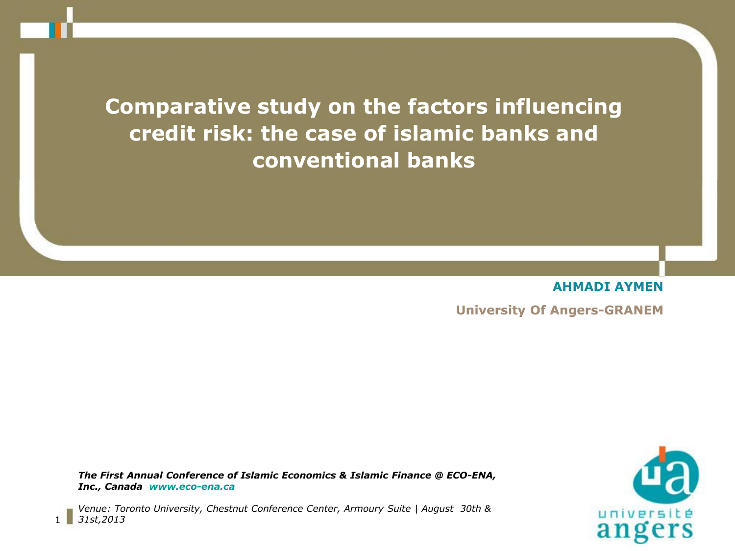**Comparative study on the factors influencing credit risk: the case of islamic banks and conventional banks** 

**AHMADI AYMEN**

**University Of Angers-GRANEM**

*The First Annual Conference of Islamic Economics & Islamic Finance @ ECO-ENA, Inc., Canada [www.eco-ena.ca](http://www.eco-ena.ca/)*

*Venue: Toronto University, Chestnut Conference Center, Armoury Suite | August 30th &*  1 *31st,2013*

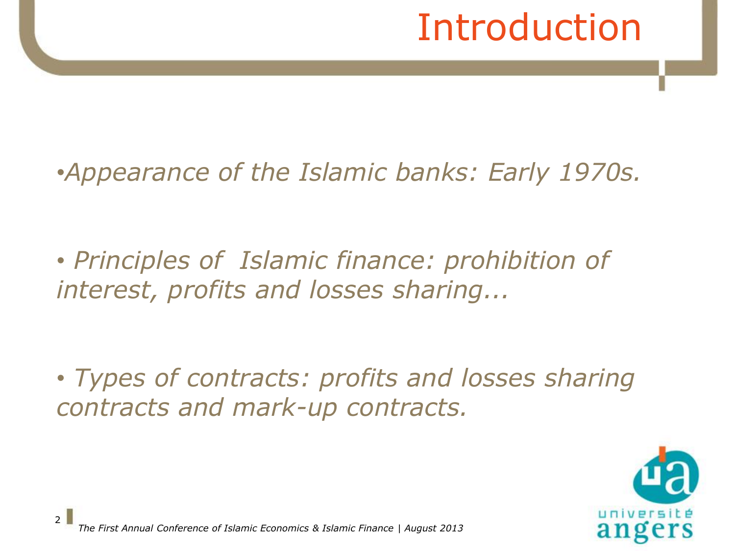# Introduction

#### •*Appearance of the Islamic banks: Early 1970s.*

• *Principles of Islamic finance: prohibition of interest, profits and losses sharing...*

• *Types of contracts: profits and losses sharing contracts and mark-up contracts.*

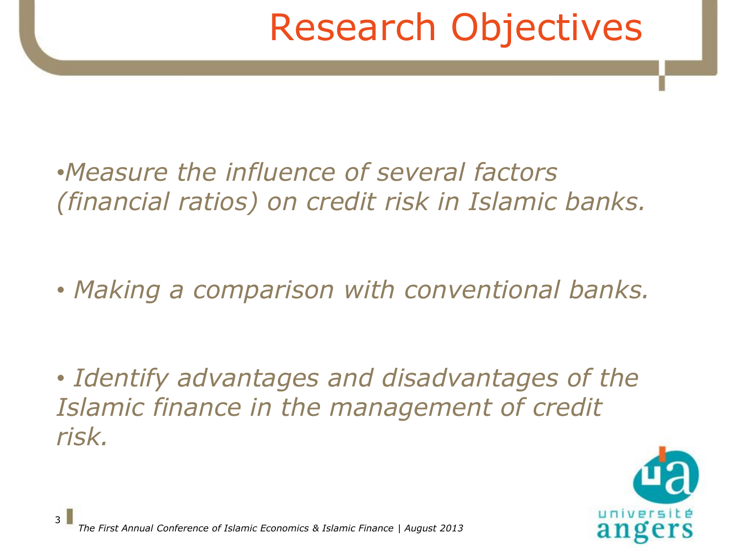# Research Objectives

•*Measure the influence of several factors (financial ratios) on credit risk in Islamic banks.*

• *Making a comparison with conventional banks.*

• *Identify advantages and disadvantages of the Islamic finance in the management of credit risk.*

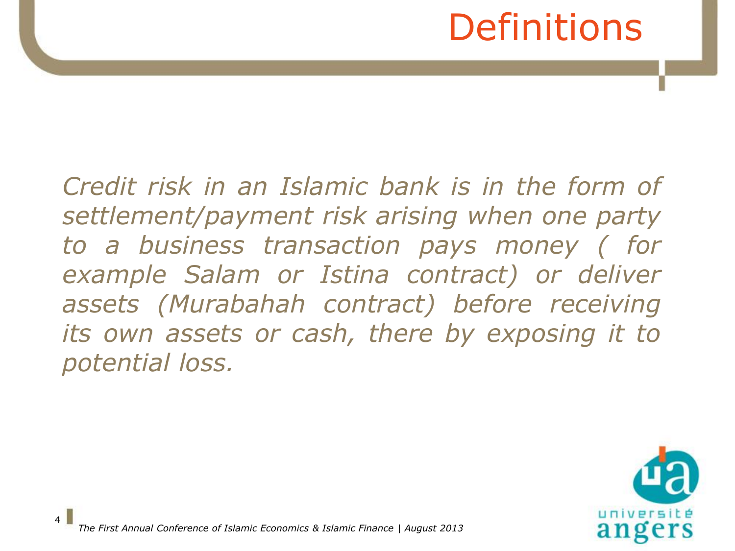### Definitions

*Credit risk in an Islamic bank is in the form of settlement/payment risk arising when one party to a business transaction pays money ( for example Salam or Istina contract) or deliver assets (Murabahah contract) before receiving its own assets or cash, there by exposing it to potential loss.*

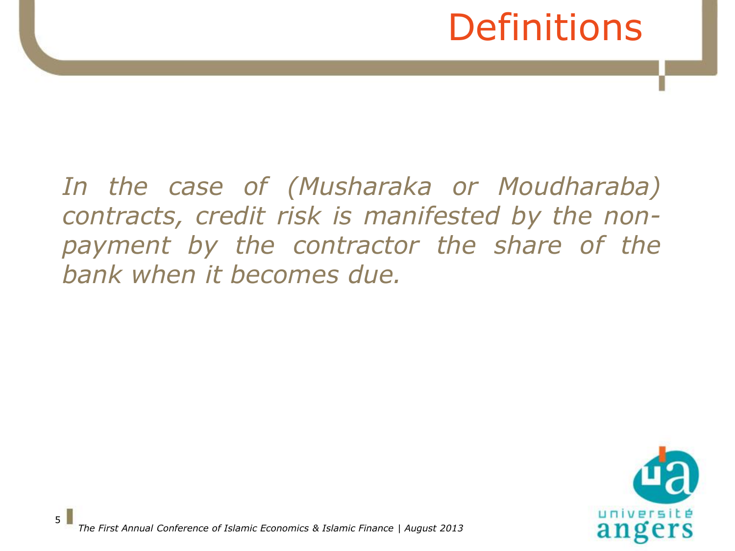### **Definitions**

*In the case of (Musharaka or Moudharaba) contracts, credit risk is manifested by the nonpayment by the contractor the share of the bank when it becomes due.*

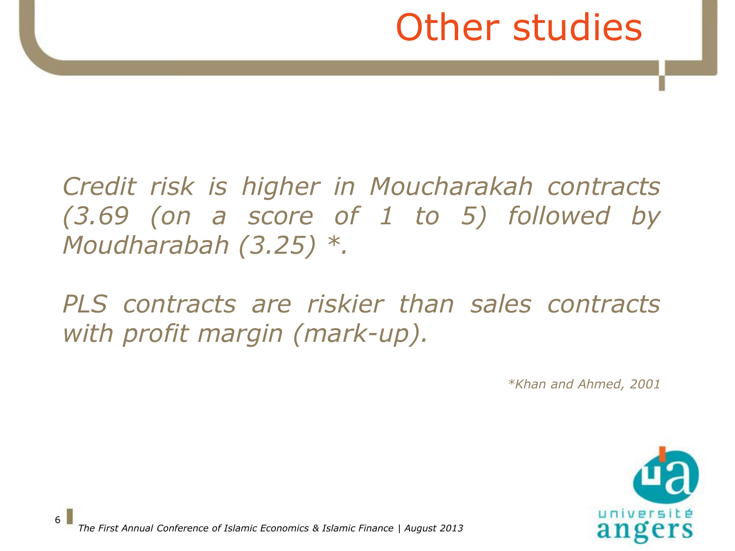### Other studies

#### *Credit risk is higher in Moucharakah contracts (3.69 (on a score of 1 to 5) followed by Moudharabah (3.25) \*.*

*PLS contracts are riskier than sales contracts with profit margin (mark-up).*

*\*Khan and Ahmed, 2001*

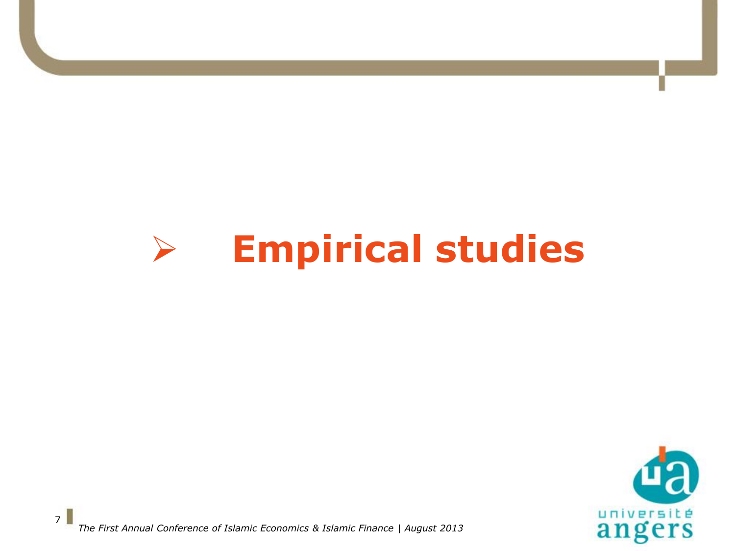# **Empirical studies**



ı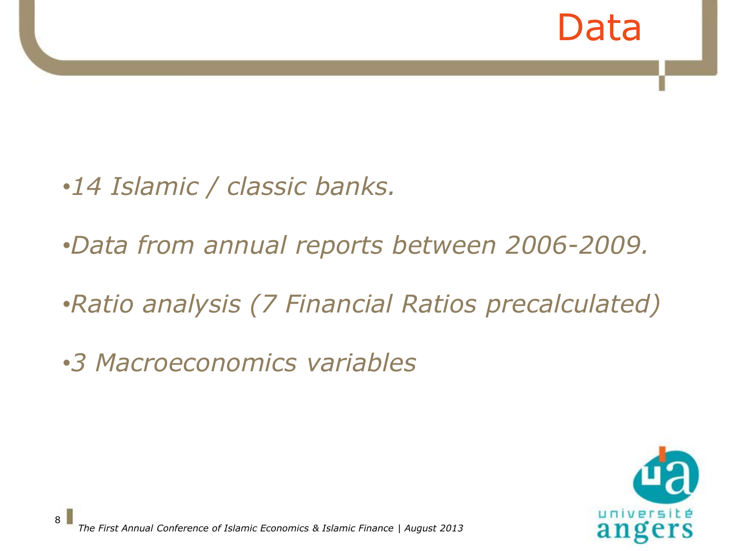

- •*14 Islamic / classic banks.*
- •*Data from annual reports between 2006-2009.*
- •*Ratio analysis (7 Financial Ratios precalculated)*
- •*3 Macroeconomics variables*

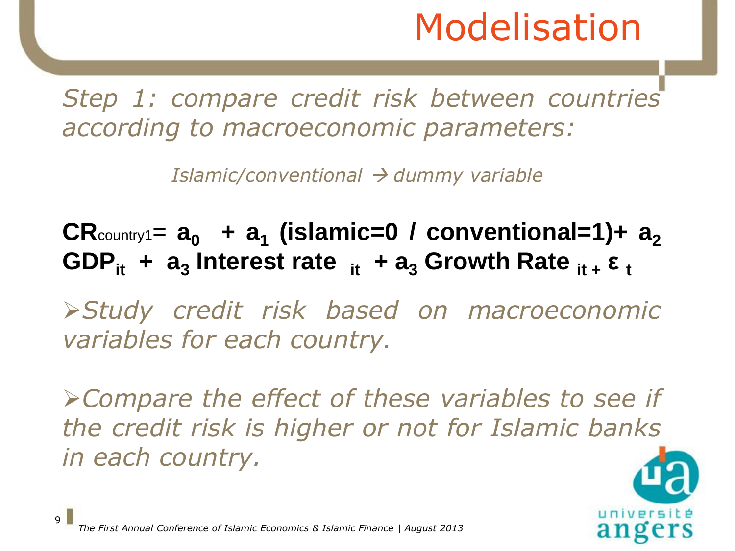*Step 1: compare credit risk between countries according to macroeconomic parameters:*

*Islamic/conventional dummy variable*

#### **CR**country1= **a<sup>0</sup> + a<sup>1</sup> (islamic=0 / conventional=1)+ a<sup>2</sup> GDP**<sub>it</sub> +  $a_3$  Interest rate  $\frac{1}{11}$  +  $a_3$  Growth Rate  $\frac{1}{11}$  +  $\epsilon$   $\frac{1}{11}$

*Study credit risk based on macroeconomic variables for each country.*

*Compare the effect of these variables to see if the credit risk is higher or not for Islamic banks in each country.*

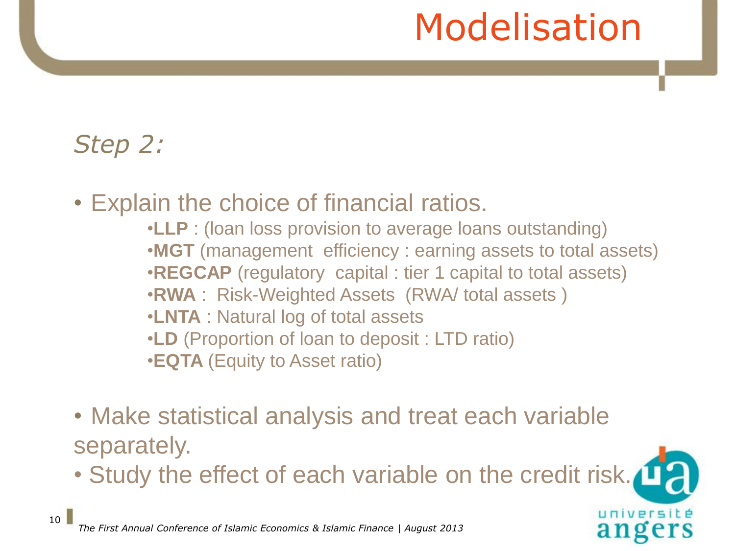université

#### *Step 2:*

- Explain the choice of financial ratios.
	- •**LLP** : (loan loss provision to average loans outstanding) •**MGT** (management efficiency : earning assets to total assets) •**REGCAP** (regulatory capital : tier 1 capital to total assets) •**RWA** : Risk-Weighted Assets (RWA/ total assets ) •**LNTA** : Natural log of total assets •**LD** (Proportion of loan to deposit : LTD ratio) •**EQTA** (Equity to Asset ratio)
- Make statistical analysis and treat each variable separately.
- Study the effect of each variable on the credit risk.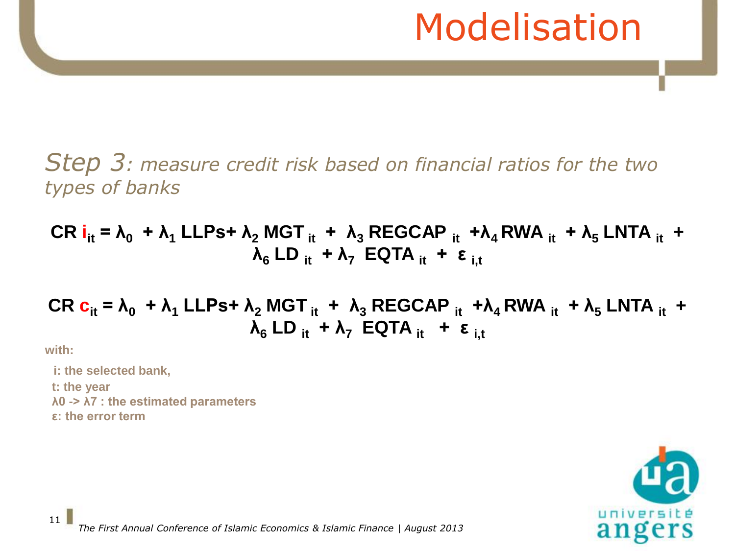*Step 3: measure credit risk based on financial ratios for the two types of banks*

CR  $i_{it} = \lambda_0 + \lambda_1$  LLPs+  $\lambda_2$  MGT  $_{it} + \lambda_3$  REGCAP  $_{it} + \lambda_4$  RWA  $_{it} + \lambda_5$  LNTA  $_{it} +$ **λ<sup>6</sup> LD it + λ<sup>7</sup> EQTA it + ε i,t**

CR  $c_{it} = \lambda_0 + \lambda_1$  LLPs+  $\lambda_2$  MGT  $_{it} + \lambda_3$  REGCAP  $_{it} + \lambda_4$  RWA  $_{it} + \lambda_5$  LNTA  $_{it} +$ **λ<sup>6</sup> LD it + λ<sup>7</sup> EQTA it + ε i,t**

**with:**

**i: the selected bank, t: the year λ0 -> λ7 : the estimated parameters ε: the error term**

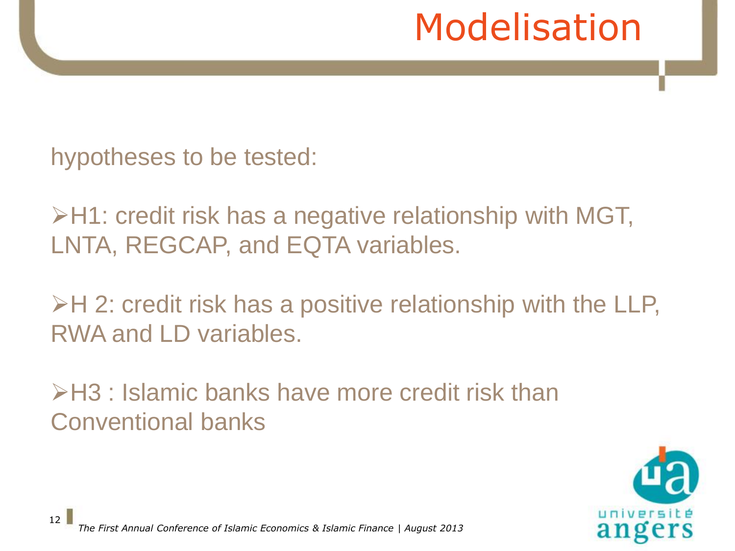hypotheses to be tested:

 H1: credit risk has a negative relationship with MGT, LNTA, REGCAP, and EQTA variables.

 $\triangleright$ H 2: credit risk has a positive relationship with the LLP, RWA and LD variables.

**≻H3 : Islamic banks have more credit risk than** Conventional banks

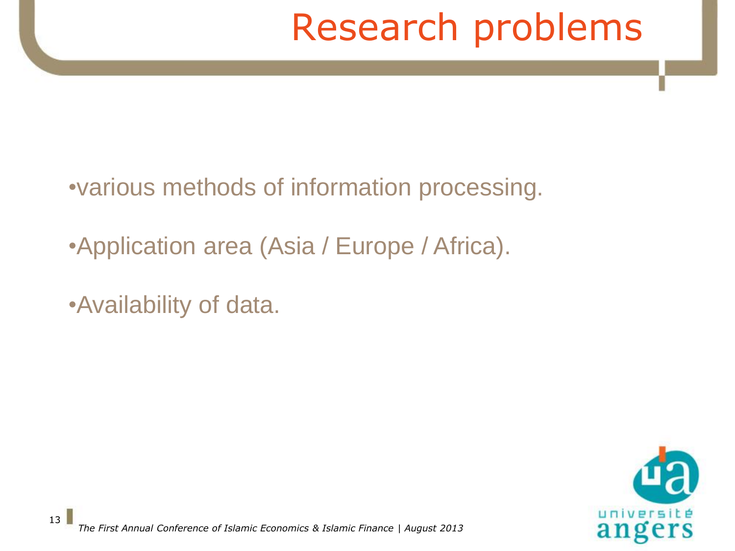# Research problems

•various methods of information processing.

- •Application area (Asia / Europe / Africa).
- •Availability of data.